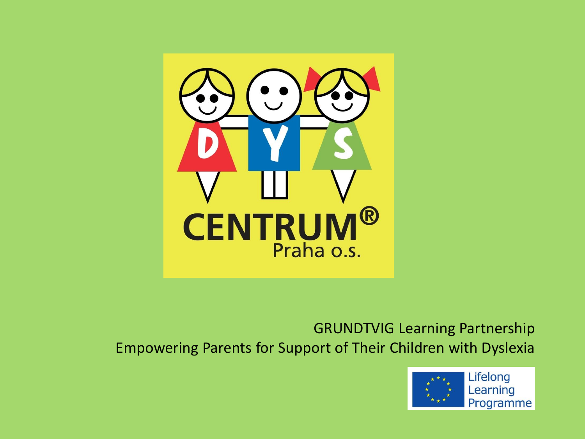

GRUNDTVIG Learning Partnership Empowering Parents for Support of Their Children with Dyslexia

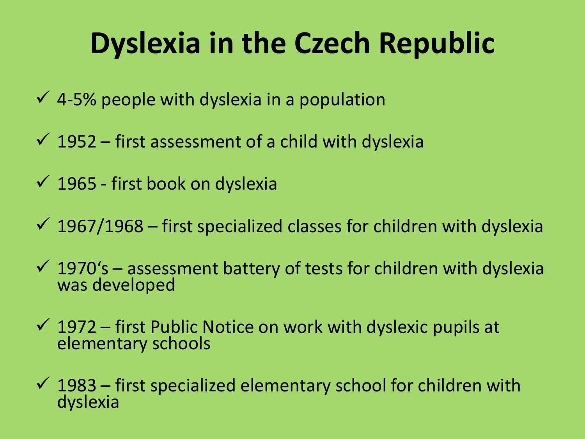# **Dyslexia in the Czech Republic**

- $\checkmark$  4-5% people with dyslexia in a population
- $\checkmark$  1952 first assessment of a child with dyslexia
- $\checkmark$  1965 first book on dyslexia
- $\checkmark$  1967/1968 first specialized classes for children with dyslexia
- $\checkmark$  1970's assessment battery of tests for children with dyslexia was developed
- $\checkmark$  1972 first Public Notice on work with dyslexic pupils at elementary schools
- $\checkmark$  1983 first specialized elementary school for children with dyslexia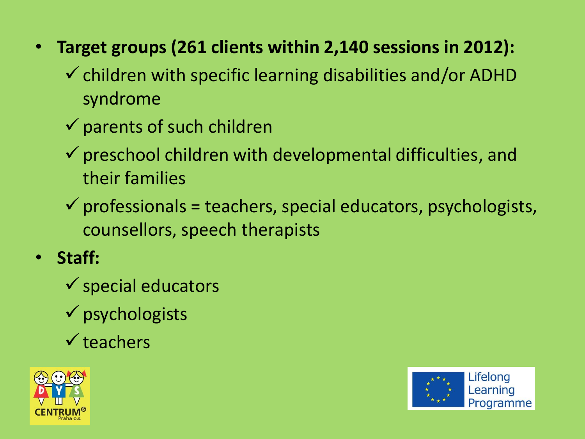- **Target groups (261 clients within 2,140 sessions in 2012):**
	- $\checkmark$  children with specific learning disabilities and/or ADHD syndrome
	- $\checkmark$  parents of such children
	- $\checkmark$  preschool children with developmental difficulties, and their families
	- $\checkmark$  professionals = teachers, special educators, psychologists, counsellors, speech therapists
- **Staff:**
	- $\checkmark$  special educators
	- $\checkmark$  psychologists
	- $\checkmark$  teachers



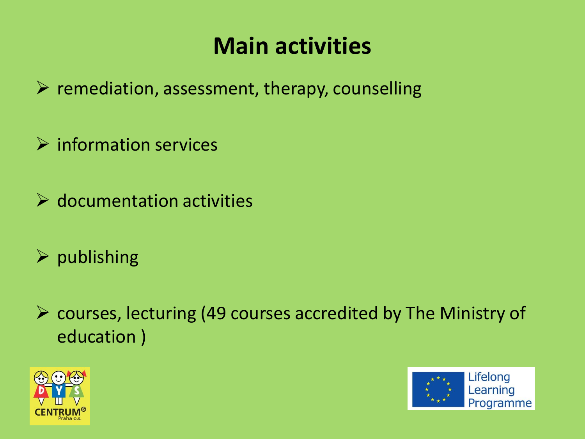#### **Main activities**

 $\triangleright$  remediation, assessment, therapy, counselling

 $\triangleright$  information services

 $\triangleright$  documentation activities

 $\triangleright$  publishing

 $\triangleright$  courses, lecturing (49 courses accredited by The Ministry of education )



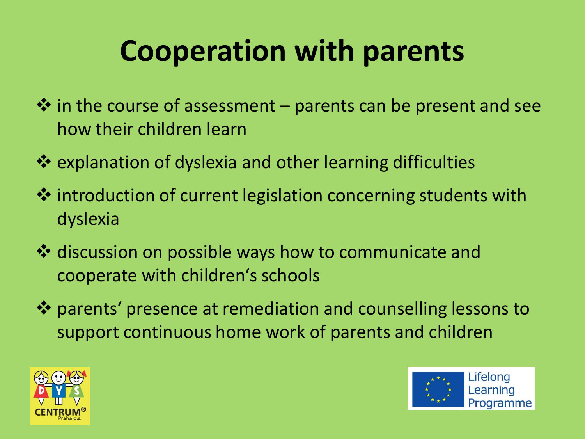# **Cooperation with parents**

- $\cdot$  in the course of assessment parents can be present and see how their children learn
- $\dots$  **explanation of dyslexia and other learning difficulties**
- $\cdot$  introduction of current legislation concerning students with dyslexia
- ❖ discussion on possible ways how to communicate and cooperate with children's schools
- parents' presence at remediation and counselling lessons to support continuous home work of parents and children



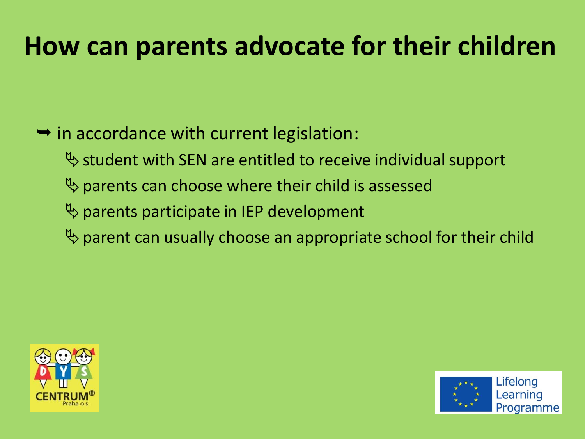## **How can parents advocate for their children**

#### $\rightarrow$  in accordance with current legislation:

- $\%$  student with SEN are entitled to receive individual support
- $\psi$  parents can choose where their child is assessed
- $\psi$  parents participate in IEP development
- $\psi$  parent can usually choose an appropriate school for their child



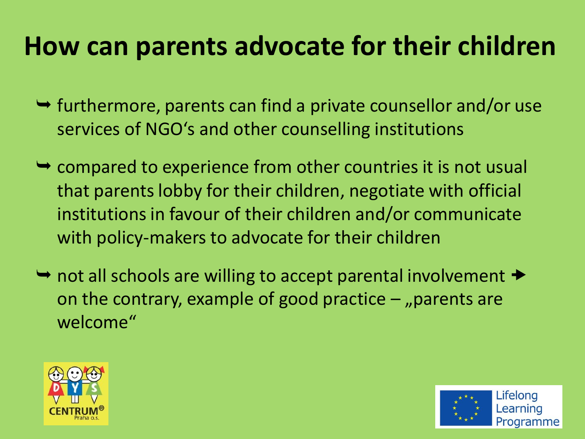## **How can parents advocate for their children**

- $\rightarrow$  furthermore, parents can find a private counsellor and/or use services of NGO's and other counselling institutions
- $\rightarrow$  compared to experience from other countries it is not usual that parents lobby for their children, negotiate with official institutions in favour of their children and/or communicate with policy-makers to advocate for their children
- $\rightarrow$  not all schools are willing to accept parental involvement  $\rightarrow$ on the contrary, example of good practice  $-$  "parents are welcome"